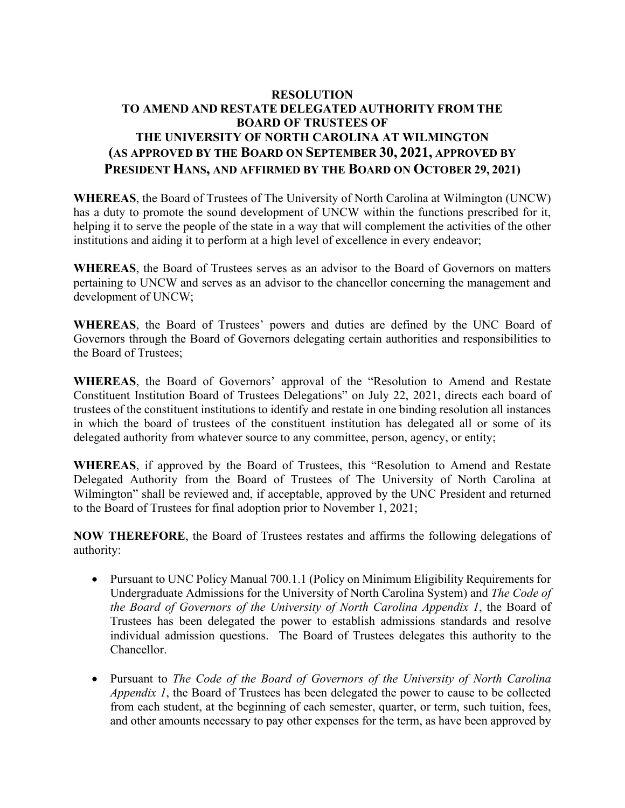## **RESOLUTION TO AMEND AND RESTATE DELEGATED AUTHORITY FROM THE BOARD OF TRUSTEES OF THE UNIVERSITY OF NORTH CAROLINA AT WILMINGTON (AS APPROVED BY THE BOARD ON SEPTEMBER 30, 2021, APPROVED BY PRESIDENT HANS, AND AFFIRMED BY THE BOARD ON OCTOBER 29, 2021)**

**WHEREAS**, the Board of Trustees of The University of North Carolina at Wilmington (UNCW) has a duty to promote the sound development of UNCW within the functions prescribed for it, helping it to serve the people of the state in a way that will complement the activities of the other institutions and aiding it to perform at a high level of excellence in every endeavor;

**WHEREAS**, the Board of Trustees serves as an advisor to the Board of Governors on matters pertaining to UNCW and serves as an advisor to the chancellor concerning the management and development of UNCW;

**WHEREAS**, the Board of Trustees' powers and duties are defined by the UNC Board of Governors through the Board of Governors delegating certain authorities and responsibilities to the Board of Trustees;

**WHEREAS**, the Board of Governors' approval of the "Resolution to Amend and Restate Constituent Institution Board of Trustees Delegations" on July 22, 2021, directs each board of trustees of the constituent institutions to identify and restate in one binding resolution all instances in which the board of trustees of the constituent institution has delegated all or some of its delegated authority from whatever source to any committee, person, agency, or entity;

**WHEREAS**, if approved by the Board of Trustees, this "Resolution to Amend and Restate Delegated Authority from the Board of Trustees of The University of North Carolina at Wilmington" shall be reviewed and, if acceptable, approved by the UNC President and returned to the Board of Trustees for final adoption prior to November 1, 2021;

**NOW THEREFORE**, the Board of Trustees restates and affirms the following delegations of authority:

- Pursuant to UNC Policy Manual 700.1.1 (Policy on Minimum Eligibility Requirements for Undergraduate Admissions for the University of North Carolina System) and *The Code of the Board of Governors of the University of North Carolina Appendix 1*, the Board of Trustees has been delegated the power to establish admissions standards and resolve individual admission questions. The Board of Trustees delegates this authority to the Chancellor.
- Pursuant to *The Code of the Board of Governors of the University of North Carolina Appendix 1*, the Board of Trustees has been delegated the power to cause to be collected from each student, at the beginning of each semester, quarter, or term, such tuition, fees, and other amounts necessary to pay other expenses for the term, as have been approved by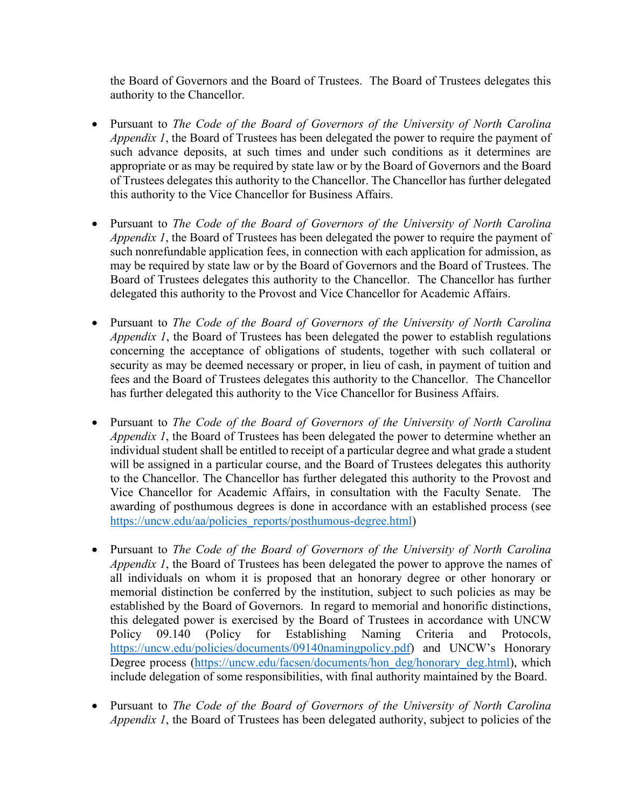the Board of Governors and the Board of Trustees. The Board of Trustees delegates this authority to the Chancellor.

- Pursuant to *The Code of the Board of Governors of the University of North Carolina Appendix 1*, the Board of Trustees has been delegated the power to require the payment of such advance deposits, at such times and under such conditions as it determines are appropriate or as may be required by state law or by the Board of Governors and the Board of Trustees delegates this authority to the Chancellor. The Chancellor has further delegated this authority to the Vice Chancellor for Business Affairs.
- Pursuant to *The Code of the Board of Governors of the University of North Carolina Appendix 1*, the Board of Trustees has been delegated the power to require the payment of such nonrefundable application fees, in connection with each application for admission, as may be required by state law or by the Board of Governors and the Board of Trustees. The Board of Trustees delegates this authority to the Chancellor. The Chancellor has further delegated this authority to the Provost and Vice Chancellor for Academic Affairs.
- Pursuant to *The Code of the Board of Governors of the University of North Carolina Appendix 1*, the Board of Trustees has been delegated the power to establish regulations concerning the acceptance of obligations of students, together with such collateral or security as may be deemed necessary or proper, in lieu of cash, in payment of tuition and fees and the Board of Trustees delegates this authority to the Chancellor. The Chancellor has further delegated this authority to the Vice Chancellor for Business Affairs.
- Pursuant to *The Code of the Board of Governors of the University of North Carolina Appendix 1*, the Board of Trustees has been delegated the power to determine whether an individual student shall be entitled to receipt of a particular degree and what grade a student will be assigned in a particular course, and the Board of Trustees delegates this authority to the Chancellor. The Chancellor has further delegated this authority to the Provost and Vice Chancellor for Academic Affairs, in consultation with the Faculty Senate. The awarding of posthumous degrees is done in accordance with an established process (see [https://uncw.edu/aa/policies\\_reports/posthumous-degree.html\)](https://uncw.edu/aa/policies_reports/posthumous-degree.html)
- Pursuant to *The Code of the Board of Governors of the University of North Carolina Appendix 1*, the Board of Trustees has been delegated the power to approve the names of all individuals on whom it is proposed that an honorary degree or other honorary or memorial distinction be conferred by the institution, subject to such policies as may be established by the Board of Governors. In regard to memorial and honorific distinctions, this delegated power is exercised by the Board of Trustees in accordance with UNCW Policy 09.140 (Policy for Establishing Naming Criteria and Protocols, [https://uncw.edu/policies/documents/09140namingpolicy.pdf\)](https://uncw.edu/policies/documents/09140namingpolicy.pdf) and UNCW's Honorary Degree process [\(https://uncw.edu/facsen/documents/hon\\_deg/honorary\\_deg.html\)](https://uncw.edu/facsen/documents/hon_deg/honorary_deg.html), which include delegation of some responsibilities, with final authority maintained by the Board.
- Pursuant to *The Code of the Board of Governors of the University of North Carolina Appendix 1*, the Board of Trustees has been delegated authority, subject to policies of the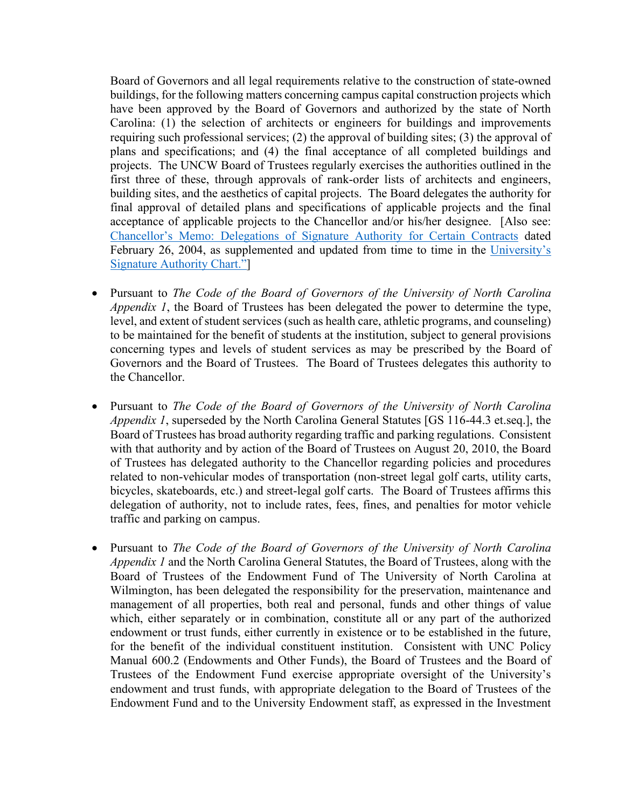Board of Governors and all legal requirements relative to the construction of state-owned buildings, for the following matters concerning campus capital construction projects which have been approved by the Board of Governors and authorized by the state of North Carolina: (1) the selection of architects or engineers for buildings and improvements requiring such professional services; (2) the approval of building sites; (3) the approval of plans and specifications; and (4) the final acceptance of all completed buildings and projects. The UNCW Board of Trustees regularly exercises the authorities outlined in the first three of these, through approvals of rank-order lists of architects and engineers, building sites, and the aesthetics of capital projects. The Board delegates the authority for final approval of detailed plans and specifications of applicable projects and the final acceptance of applicable projects to the Chancellor and/or his/her designee. [Also see: [Chancellor's Memo: Delegations of Signature Authority for Certain Contracts](https://uncw.edu/generalcounsel/documents/doc1.pdf) dated February 26, 2004, as supplemented and updated from time to time in the [University's](https://uncw.edu/generalcounsel/documents/topicareas7a2.rev1.dec2011.pdf)  [Signature Authority Chart."\]](https://uncw.edu/generalcounsel/documents/topicareas7a2.rev1.dec2011.pdf)

- Pursuant to *The Code of the Board of Governors of the University of North Carolina Appendix 1*, the Board of Trustees has been delegated the power to determine the type, level, and extent of student services (such as health care, athletic programs, and counseling) to be maintained for the benefit of students at the institution, subject to general provisions concerning types and levels of student services as may be prescribed by the Board of Governors and the Board of Trustees. The Board of Trustees delegates this authority to the Chancellor.
- Pursuant to *The Code of the Board of Governors of the University of North Carolina Appendix 1*, superseded by the North Carolina General Statutes [GS 116-44.3 et.seq.], the Board of Trustees has broad authority regarding traffic and parking regulations. Consistent with that authority and by action of the Board of Trustees on August 20, 2010, the Board of Trustees has delegated authority to the Chancellor regarding policies and procedures related to non-vehicular modes of transportation (non-street legal golf carts, utility carts, bicycles, skateboards, etc.) and street-legal golf carts. The Board of Trustees affirms this delegation of authority, not to include rates, fees, fines, and penalties for motor vehicle traffic and parking on campus.
- Pursuant to *The Code of the Board of Governors of the University of North Carolina Appendix 1* and the North Carolina General Statutes, the Board of Trustees, along with the Board of Trustees of the Endowment Fund of The University of North Carolina at Wilmington, has been delegated the responsibility for the preservation, maintenance and management of all properties, both real and personal, funds and other things of value which, either separately or in combination, constitute all or any part of the authorized endowment or trust funds, either currently in existence or to be established in the future, for the benefit of the individual constituent institution. Consistent with UNC Policy Manual 600.2 (Endowments and Other Funds), the Board of Trustees and the Board of Trustees of the Endowment Fund exercise appropriate oversight of the University's endowment and trust funds, with appropriate delegation to the Board of Trustees of the Endowment Fund and to the University Endowment staff, as expressed in the Investment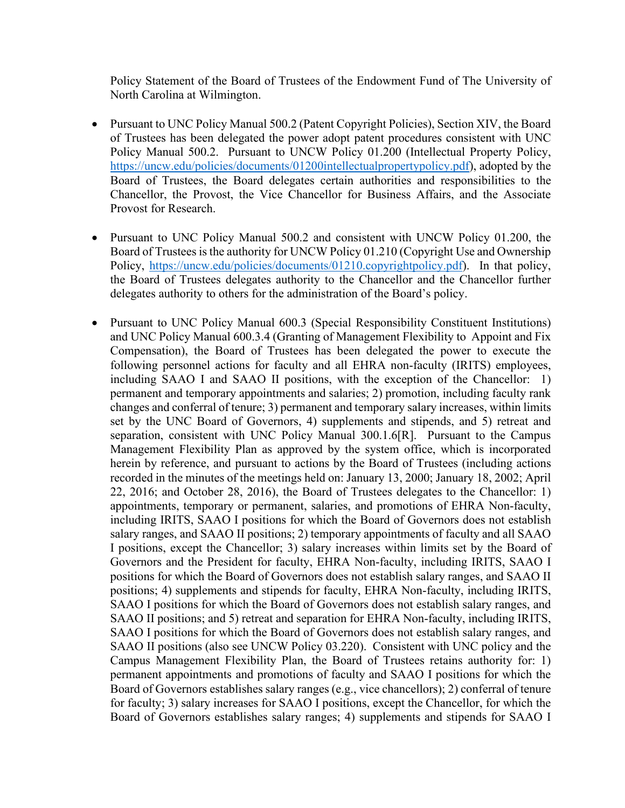Policy Statement of the Board of Trustees of the Endowment Fund of The University of North Carolina at Wilmington.

- Pursuant to UNC Policy Manual 500.2 (Patent Copyright Policies), Section XIV, the Board of Trustees has been delegated the power adopt patent procedures consistent with UNC Policy Manual 500.2. Pursuant to UNCW Policy 01.200 (Intellectual Property Policy, [https://uncw.edu/policies/documents/01200intellectualpropertypolicy.pdf\)](https://uncw.edu/policies/documents/01200intellectualpropertypolicy.pdf), adopted by the Board of Trustees, the Board delegates certain authorities and responsibilities to the Chancellor, the Provost, the Vice Chancellor for Business Affairs, and the Associate Provost for Research.
- Pursuant to UNC Policy Manual 500.2 and consistent with UNCW Policy 01.200, the Board of Trustees is the authority for UNCW Policy 01.210 (Copyright Use and Ownership Policy, [https://uncw.edu/policies/documents/01210.copyrightpolicy.pdf\)](https://uncw.edu/policies/documents/01210.copyrightpolicy.pdf). In that policy, the Board of Trustees delegates authority to the Chancellor and the Chancellor further delegates authority to others for the administration of the Board's policy.
- Pursuant to UNC Policy Manual 600.3 (Special Responsibility Constituent Institutions) and UNC Policy Manual 600.3.4 (Granting of Management Flexibility to Appoint and Fix Compensation), the Board of Trustees has been delegated the power to execute the following personnel actions for faculty and all EHRA non-faculty (IRITS) employees, including SAAO I and SAAO II positions, with the exception of the Chancellor: 1) permanent and temporary appointments and salaries; 2) promotion, including faculty rank changes and conferral of tenure; 3) permanent and temporary salary increases, within limits set by the UNC Board of Governors, 4) supplements and stipends, and 5) retreat and separation, consistent with UNC Policy Manual 300.1.6[R]. Pursuant to the Campus Management Flexibility Plan as approved by the system office, which is incorporated herein by reference, and pursuant to actions by the Board of Trustees (including actions recorded in the minutes of the meetings held on: January 13, 2000; January 18, 2002; April 22, 2016; and October 28, 2016), the Board of Trustees delegates to the Chancellor: 1) appointments, temporary or permanent, salaries, and promotions of EHRA Non-faculty, including IRITS, SAAO I positions for which the Board of Governors does not establish salary ranges, and SAAO II positions; 2) temporary appointments of faculty and all SAAO I positions, except the Chancellor; 3) salary increases within limits set by the Board of Governors and the President for faculty, EHRA Non-faculty, including IRITS, SAAO I positions for which the Board of Governors does not establish salary ranges, and SAAO II positions; 4) supplements and stipends for faculty, EHRA Non-faculty, including IRITS, SAAO I positions for which the Board of Governors does not establish salary ranges, and SAAO II positions; and 5) retreat and separation for EHRA Non-faculty, including IRITS, SAAO I positions for which the Board of Governors does not establish salary ranges, and SAAO II positions (also see UNCW Policy 03.220). Consistent with UNC policy and the Campus Management Flexibility Plan, the Board of Trustees retains authority for: 1) permanent appointments and promotions of faculty and SAAO I positions for which the Board of Governors establishes salary ranges (e.g., vice chancellors); 2) conferral of tenure for faculty; 3) salary increases for SAAO I positions, except the Chancellor, for which the Board of Governors establishes salary ranges; 4) supplements and stipends for SAAO I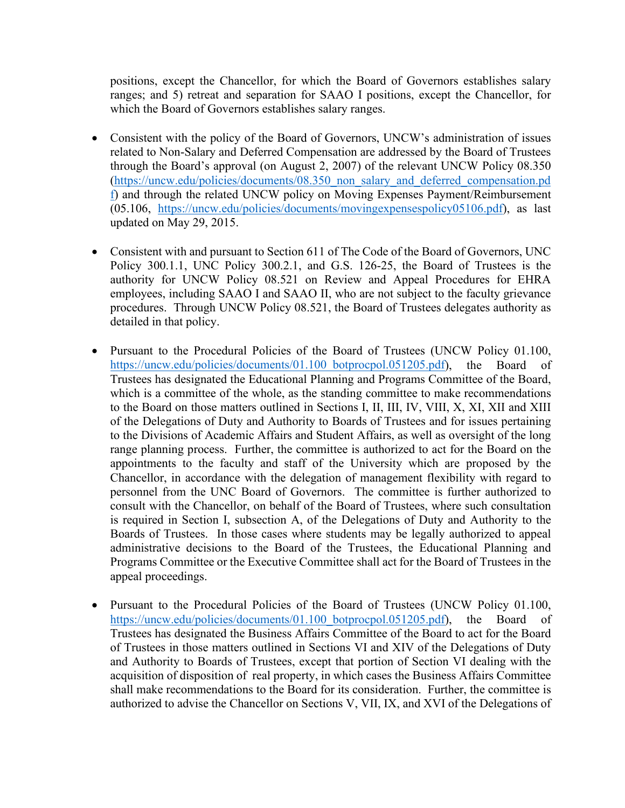positions, except the Chancellor, for which the Board of Governors establishes salary ranges; and 5) retreat and separation for SAAO I positions, except the Chancellor, for which the Board of Governors establishes salary ranges.

- Consistent with the policy of the Board of Governors, UNCW's administration of issues related to Non-Salary and Deferred Compensation are addressed by the Board of Trustees through the Board's approval (on August 2, 2007) of the relevant UNCW Policy 08.350 [\(https://uncw.edu/policies/documents/08.350\\_non\\_salary\\_and\\_deferred\\_compensation.pd](https://uncw.edu/policies/documents/08.350_non_salary_and_deferred_compensation.pdf) [f\)](https://uncw.edu/policies/documents/08.350_non_salary_and_deferred_compensation.pdf) and through the related UNCW policy on Moving Expenses Payment/Reimbursement (05.106, [https://uncw.edu/policies/documents/movingexpensespolicy05106.pdf\)](https://uncw.edu/policies/documents/movingexpensespolicy05106.pdf), as last updated on May 29, 2015.
- Consistent with and pursuant to Section 611 of The Code of the Board of Governors, UNC Policy 300.1.1, UNC Policy 300.2.1, and G.S. 126-25, the Board of Trustees is the authority for UNCW Policy 08.521 on Review and Appeal Procedures for EHRA employees, including SAAO I and SAAO II, who are not subject to the faculty grievance procedures. Through UNCW Policy 08.521, the Board of Trustees delegates authority as detailed in that policy.
- Pursuant to the Procedural Policies of the Board of Trustees (UNCW Policy 01.100, https://uncw.edu/policies/documents/01.100 botprocpol.051205.pdf), the Board of Trustees has designated the Educational Planning and Programs Committee of the Board, which is a committee of the whole, as the standing committee to make recommendations to the Board on those matters outlined in Sections I, II, III, IV, VIII, X, XI, XII and XIII of the Delegations of Duty and Authority to Boards of Trustees and for issues pertaining to the Divisions of Academic Affairs and Student Affairs, as well as oversight of the long range planning process. Further, the committee is authorized to act for the Board on the appointments to the faculty and staff of the University which are proposed by the Chancellor, in accordance with the delegation of management flexibility with regard to personnel from the UNC Board of Governors. The committee is further authorized to consult with the Chancellor, on behalf of the Board of Trustees, where such consultation is required in Section I, subsection A, of the Delegations of Duty and Authority to the Boards of Trustees. In those cases where students may be legally authorized to appeal administrative decisions to the Board of the Trustees, the Educational Planning and Programs Committee or the Executive Committee shall act for the Board of Trustees in the appeal proceedings.
- Pursuant to the Procedural Policies of the Board of Trustees (UNCW Policy 01.100, https://uncw.edu/policies/documents/01.100 botprocpol.051205.pdf), the Board of Trustees has designated the Business Affairs Committee of the Board to act for the Board of Trustees in those matters outlined in Sections VI and XIV of the Delegations of Duty and Authority to Boards of Trustees, except that portion of Section VI dealing with the acquisition of disposition of real property, in which cases the Business Affairs Committee shall make recommendations to the Board for its consideration. Further, the committee is authorized to advise the Chancellor on Sections V, VII, IX, and XVI of the Delegations of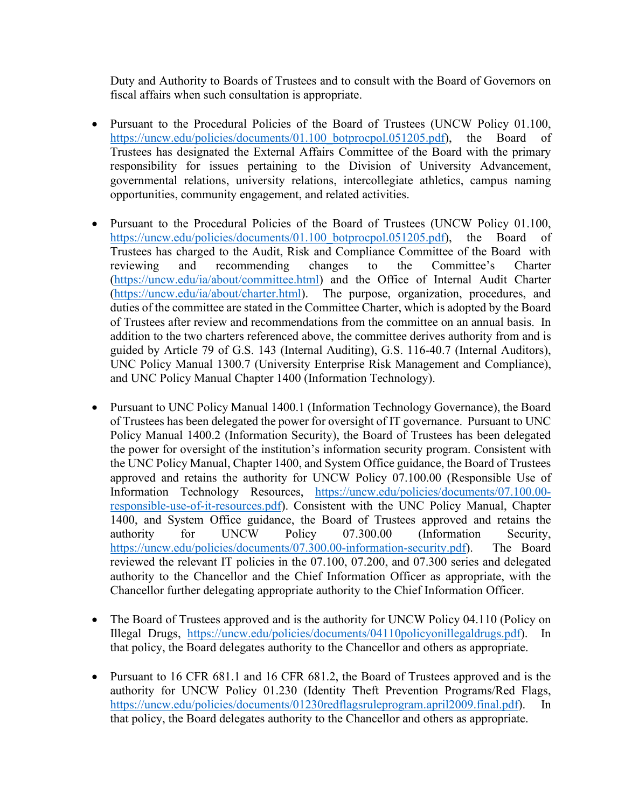Duty and Authority to Boards of Trustees and to consult with the Board of Governors on fiscal affairs when such consultation is appropriate.

- Pursuant to the Procedural Policies of the Board of Trustees (UNCW Policy 01.100, https://uncw.edu/policies/documents/01.100 botprocpol.051205.pdf), the Board of Trustees has designated the External Affairs Committee of the Board with the primary responsibility for issues pertaining to the Division of University Advancement, governmental relations, university relations, intercollegiate athletics, campus naming opportunities, community engagement, and related activities.
- Pursuant to the Procedural Policies of the Board of Trustees (UNCW Policy 01.100, https://uncw.edu/policies/documents/01.100 botprocpol.051205.pdf), the Board of Trustees has charged to the Audit, Risk and Compliance Committee of the Board with reviewing and recommending changes to the Committee's Charter [\(https://uncw.edu/ia/about/committee.html\)](https://uncw.edu/ia/about/committee.html) and the Office of Internal Audit Charter (https://uncw.edu/ia/about/charter.html). The purpose, organization, procedures, and The purpose, organization, procedures, and duties of the committee are stated in the Committee Charter, which is adopted by the Board of Trustees after review and recommendations from the committee on an annual basis. In addition to the two charters referenced above, the committee derives authority from and is guided by Article 79 of G.S. 143 (Internal Auditing), G.S. 116-40.7 (Internal Auditors), UNC Policy Manual 1300.7 (University Enterprise Risk Management and Compliance), and UNC Policy Manual Chapter 1400 (Information Technology).
- Pursuant to UNC Policy Manual 1400.1 (Information Technology Governance), the Board of Trustees has been delegated the power for oversight of IT governance. Pursuant to UNC Policy Manual 1400.2 (Information Security), the Board of Trustees has been delegated the power for oversight of the institution's information security program. Consistent with the UNC Policy Manual, Chapter 1400, and System Office guidance, the Board of Trustees approved and retains the authority for UNCW Policy 07.100.00 (Responsible Use of Information Technology Resources, [https://uncw.edu/policies/documents/07.100.00](https://uncw.edu/policies/documents/07.100.00-responsible-use-of-it-resources.pdf) [responsible-use-of-it-resources.pdf\)](https://uncw.edu/policies/documents/07.100.00-responsible-use-of-it-resources.pdf). Consistent with the UNC Policy Manual, Chapter 1400, and System Office guidance, the Board of Trustees approved and retains the authority for UNCW Policy 07.300.00 (Information Security, [https://uncw.edu/policies/documents/07.300.00-information-security.pdf\)](https://uncw.edu/policies/documents/07.300.00-information-security.pdf). The Board reviewed the relevant IT policies in the 07.100, 07.200, and 07.300 series and delegated authority to the Chancellor and the Chief Information Officer as appropriate, with the Chancellor further delegating appropriate authority to the Chief Information Officer.
- The Board of Trustees approved and is the authority for UNCW Policy 04.110 (Policy on Illegal Drugs, [https://uncw.edu/policies/documents/04110policyonillegaldrugs.pdf\)](https://uncw.edu/policies/documents/04110policyonillegaldrugs.pdf). In that policy, the Board delegates authority to the Chancellor and others as appropriate.
- Pursuant to 16 CFR 681.1 and 16 CFR 681.2, the Board of Trustees approved and is the authority for UNCW Policy 01.230 (Identity Theft Prevention Programs/Red Flags, [https://uncw.edu/policies/documents/01230redflagsruleprogram.april2009.final.pdf\)](https://uncw.edu/policies/documents/01230redflagsruleprogram.april2009.final.pdf). In that policy, the Board delegates authority to the Chancellor and others as appropriate.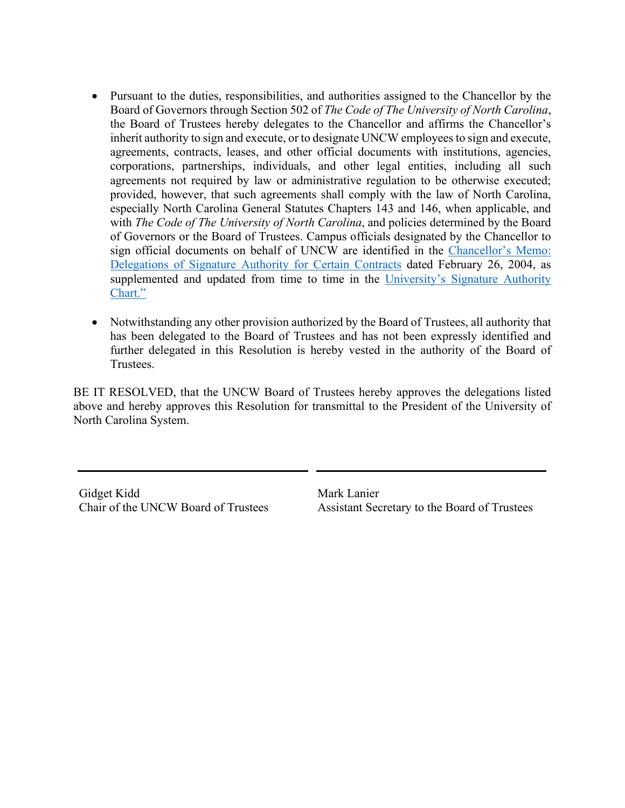- Pursuant to the duties, responsibilities, and authorities assigned to the Chancellor by the Board of Governors through Section 502 of *The Code of The University of North Carolina*, the Board of Trustees hereby delegates to the Chancellor and affirms the Chancellor's inherit authority to sign and execute, or to designate UNCW employees to sign and execute, agreements, contracts, leases, and other official documents with institutions, agencies, corporations, partnerships, individuals, and other legal entities, including all such agreements not required by law or administrative regulation to be otherwise executed; provided, however, that such agreements shall comply with the law of North Carolina, especially North Carolina General Statutes Chapters 143 and 146, when applicable, and with *The Code of The University of North Carolina*, and policies determined by the Board of Governors or the Board of Trustees. Campus officials designated by the Chancellor to sign official documents on behalf of UNCW are identified in the [Chancellor's Memo:](https://uncw.edu/generalcounsel/documents/doc1.pdf)  [Delegations of Signature Authority for Certain Contracts](https://uncw.edu/generalcounsel/documents/doc1.pdf) dated February 26, 2004, as supplemented and updated from time to time in the University's Signature Authority [Chart."](https://uncw.edu/generalcounsel/documents/topicareas7a2.rev1.dec2011.pdf)
- Notwithstanding any other provision authorized by the Board of Trustees, all authority that has been delegated to the Board of Trustees and has not been expressly identified and further delegated in this Resolution is hereby vested in the authority of the Board of Trustees.

BE IT RESOLVED, that the UNCW Board of Trustees hereby approves the delegations listed above and hereby approves this Resolution for transmittal to the President of the University of North Carolina System.

Gidget Kidd Chair of the UNCW Board of Trustees Mark Lanier Assistant Secretary to the Board of Trustees